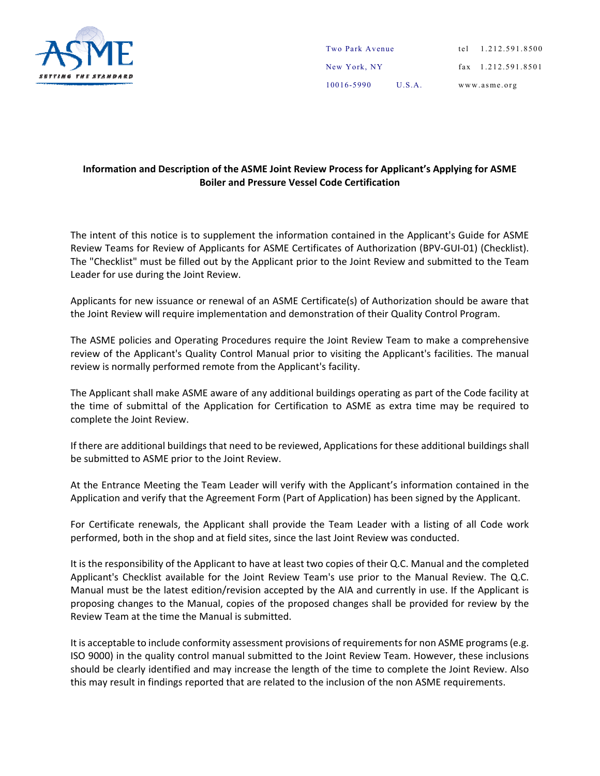

| 10016-5990      | U.S.A. | www.asme.org            |
|-----------------|--------|-------------------------|
| New York, NY    |        | $\{ax\}$ 1.212.591.8501 |
| Two Park Avenue |        | tel 1.212.591.8500      |

## **Information and Description of the ASME Joint Review Process for Applicant's Applying for ASME Boiler and Pressure Vessel Code Certification**

The intent of this notice is to supplement the information contained in the Applicant's Guide for ASME Review Teams for Review of Applicants for ASME Certificates of Authorization (BPV‐GUI‐01) (Checklist). The "Checklist" must be filled out by the Applicant prior to the Joint Review and submitted to the Team Leader for use during the Joint Review.

Applicants for new issuance or renewal of an ASME Certificate(s) of Authorization should be aware that the Joint Review will require implementation and demonstration of their Quality Control Program.

The ASME policies and Operating Procedures require the Joint Review Team to make a comprehensive review of the Applicant's Quality Control Manual prior to visiting the Applicant's facilities. The manual review is normally performed remote from the Applicant's facility.

The Applicant shall make ASME aware of any additional buildings operating as part of the Code facility at the time of submittal of the Application for Certification to ASME as extra time may be required to complete the Joint Review.

If there are additional buildings that need to be reviewed, Applications for these additional buildings shall be submitted to ASME prior to the Joint Review.

At the Entrance Meeting the Team Leader will verify with the Applicant's information contained in the Application and verify that the Agreement Form (Part of Application) has been signed by the Applicant.

For Certificate renewals, the Applicant shall provide the Team Leader with a listing of all Code work performed, both in the shop and at field sites, since the last Joint Review was conducted.

It is the responsibility of the Applicant to have at least two copies of their Q.C. Manual and the completed Applicant's Checklist available for the Joint Review Team's use prior to the Manual Review. The Q.C. Manual must be the latest edition/revision accepted by the AIA and currently in use. If the Applicant is proposing changes to the Manual, copies of the proposed changes shall be provided for review by the Review Team at the time the Manual is submitted.

It is acceptable to include conformity assessment provisions of requirements for non ASME programs (e.g. ISO 9000) in the quality control manual submitted to the Joint Review Team. However, these inclusions should be clearly identified and may increase the length of the time to complete the Joint Review. Also this may result in findings reported that are related to the inclusion of the non ASME requirements.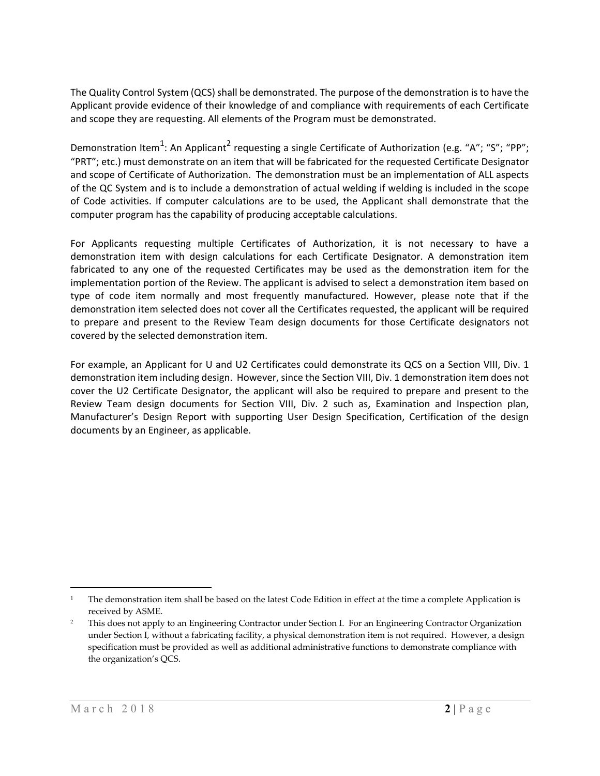The Quality Control System (QCS) shall be demonstrated. The purpose of the demonstration is to have the Applicant provide evidence of their knowledge of and compliance with requirements of each Certificate and scope they are requesting. All elements of the Program must be demonstrated.

Demonstration Item<sup>1</sup>: An Applicant<sup>2</sup> requesting a single Certificate of Authorization (e.g. "A"; "S"; "PP"; "PRT"; etc.) must demonstrate on an item that will be fabricated for the requested Certificate Designator and scope of Certificate of Authorization. The demonstration must be an implementation of ALL aspects of the QC System and is to include a demonstration of actual welding if welding is included in the scope of Code activities. If computer calculations are to be used, the Applicant shall demonstrate that the computer program has the capability of producing acceptable calculations.

For Applicants requesting multiple Certificates of Authorization, it is not necessary to have a demonstration item with design calculations for each Certificate Designator. A demonstration item fabricated to any one of the requested Certificates may be used as the demonstration item for the implementation portion of the Review. The applicant is advised to select a demonstration item based on type of code item normally and most frequently manufactured. However, please note that if the demonstration item selected does not cover all the Certificates requested, the applicant will be required to prepare and present to the Review Team design documents for those Certificate designators not covered by the selected demonstration item.

For example, an Applicant for U and U2 Certificates could demonstrate its QCS on a Section VIII, Div. 1 demonstration item including design. However, since the Section VIII, Div. 1 demonstration item does not cover the U2 Certificate Designator, the applicant will also be required to prepare and present to the Review Team design documents for Section VIII, Div. 2 such as, Examination and Inspection plan, Manufacturer's Design Report with supporting User Design Specification, Certification of the design documents by an Engineer, as applicable.

 $\overline{a}$ 

<sup>&</sup>lt;sup>1</sup> The demonstration item shall be based on the latest Code Edition in effect at the time a complete Application is received by ASME.

<sup>&</sup>lt;sup>2</sup> This does not apply to an Engineering Contractor under Section I. For an Engineering Contractor Organization under Section I, without a fabricating facility, a physical demonstration item is not required. However, a design specification must be provided as well as additional administrative functions to demonstrate compliance with the organization's QCS.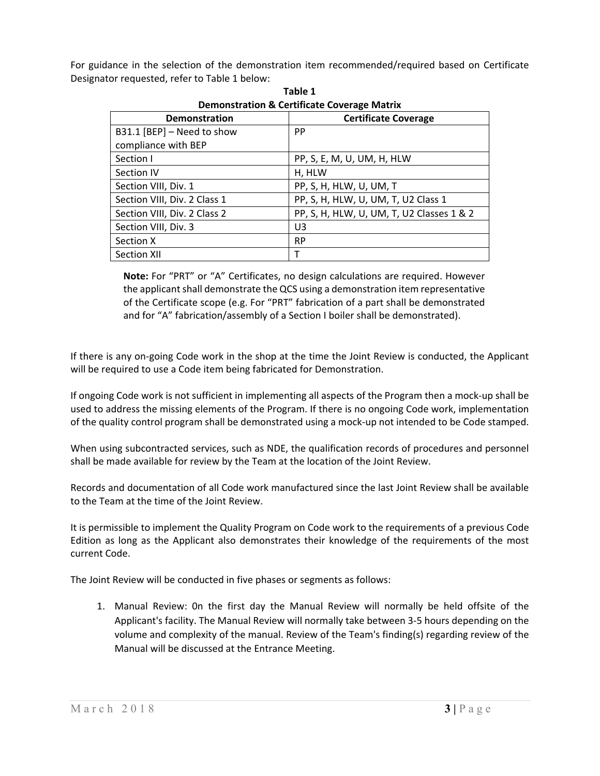For guidance in the selection of the demonstration item recommended/required based on Certificate Designator requested, refer to Table 1 below:

| Demonstration & Certificate Coverage Matrix |                                           |  |  |
|---------------------------------------------|-------------------------------------------|--|--|
| <b>Demonstration</b>                        | <b>Certificate Coverage</b>               |  |  |
| B31.1 [BEP] - Need to show                  | <b>PP</b>                                 |  |  |
| compliance with BEP                         |                                           |  |  |
| Section I                                   | PP, S, E, M, U, UM, H, HLW                |  |  |
| Section IV                                  | H, HLW                                    |  |  |
| Section VIII, Div. 1                        | PP, S, H, HLW, U, UM, T                   |  |  |
| Section VIII, Div. 2 Class 1                | PP, S, H, HLW, U, UM, T, U2 Class 1       |  |  |
| Section VIII, Div. 2 Class 2                | PP, S, H, HLW, U, UM, T, U2 Classes 1 & 2 |  |  |
| Section VIII, Div. 3                        | U <sub>3</sub>                            |  |  |
| Section X                                   | <b>RP</b>                                 |  |  |
| <b>Section XII</b>                          |                                           |  |  |

**Table 1 Demonstration & Certificate Coverage Matrix**

**Note:** For "PRT" or "A" Certificates, no design calculations are required. However the applicant shall demonstrate the QCS using a demonstration item representative of the Certificate scope (e.g. For "PRT" fabrication of a part shall be demonstrated and for "A" fabrication/assembly of a Section I boiler shall be demonstrated).

If there is any on‐going Code work in the shop at the time the Joint Review is conducted, the Applicant will be required to use a Code item being fabricated for Demonstration.

If ongoing Code work is not sufficient in implementing all aspects of the Program then a mock‐up shall be used to address the missing elements of the Program. If there is no ongoing Code work, implementation of the quality control program shall be demonstrated using a mock‐up not intended to be Code stamped.

When using subcontracted services, such as NDE, the qualification records of procedures and personnel shall be made available for review by the Team at the location of the Joint Review.

Records and documentation of all Code work manufactured since the last Joint Review shall be available to the Team at the time of the Joint Review.

It is permissible to implement the Quality Program on Code work to the requirements of a previous Code Edition as long as the Applicant also demonstrates their knowledge of the requirements of the most current Code.

The Joint Review will be conducted in five phases or segments as follows:

1. Manual Review: 0n the first day the Manual Review will normally be held offsite of the Applicant's facility. The Manual Review will normally take between 3‐5 hours depending on the volume and complexity of the manual. Review of the Team's finding(s) regarding review of the Manual will be discussed at the Entrance Meeting.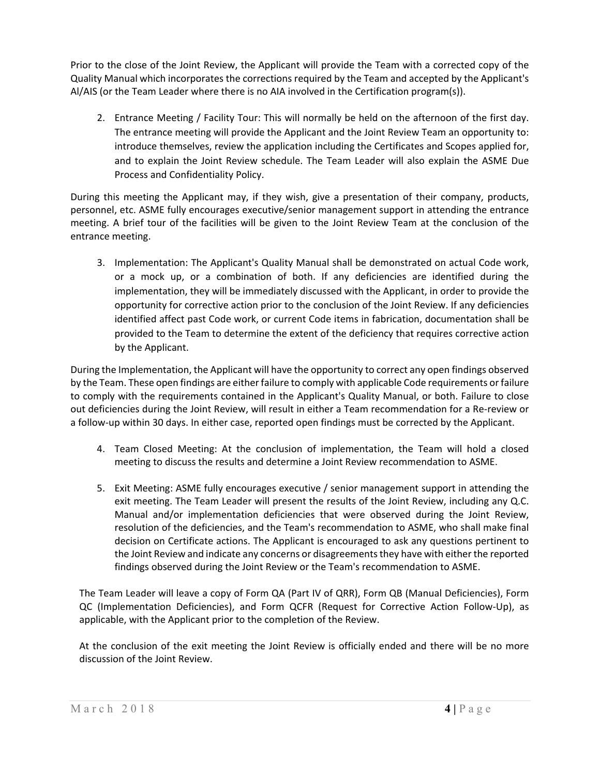Prior to the close of the Joint Review, the Applicant will provide the Team with a corrected copy of the Quality Manual which incorporates the corrections required by the Team and accepted by the Applicant's Al/AIS (or the Team Leader where there is no AIA involved in the Certification program(s)).

2. Entrance Meeting / Facility Tour: This will normally be held on the afternoon of the first day. The entrance meeting will provide the Applicant and the Joint Review Team an opportunity to: introduce themselves, review the application including the Certificates and Scopes applied for, and to explain the Joint Review schedule. The Team Leader will also explain the ASME Due Process and Confidentiality Policy.

During this meeting the Applicant may, if they wish, give a presentation of their company, products, personnel, etc. ASME fully encourages executive/senior management support in attending the entrance meeting. A brief tour of the facilities will be given to the Joint Review Team at the conclusion of the entrance meeting.

3. Implementation: The Applicant's Quality Manual shall be demonstrated on actual Code work, or a mock up, or a combination of both. If any deficiencies are identified during the implementation, they will be immediately discussed with the Applicant, in order to provide the opportunity for corrective action prior to the conclusion of the Joint Review. If any deficiencies identified affect past Code work, or current Code items in fabrication, documentation shall be provided to the Team to determine the extent of the deficiency that requires corrective action by the Applicant.

During the Implementation, the Applicant will have the opportunity to correct any open findings observed by the Team. These open findings are either failure to comply with applicable Code requirements or failure to comply with the requirements contained in the Applicant's Quality Manual, or both. Failure to close out deficiencies during the Joint Review, will result in either a Team recommendation for a Re‐review or a follow‐up within 30 days. In either case, reported open findings must be corrected by the Applicant.

- 4. Team Closed Meeting: At the conclusion of implementation, the Team will hold a closed meeting to discuss the results and determine a Joint Review recommendation to ASME.
- 5. Exit Meeting: ASME fully encourages executive / senior management support in attending the exit meeting. The Team Leader will present the results of the Joint Review, including any Q.C. Manual and/or implementation deficiencies that were observed during the Joint Review, resolution of the deficiencies, and the Team's recommendation to ASME, who shall make final decision on Certificate actions. The Applicant is encouraged to ask any questions pertinent to the Joint Review and indicate any concerns or disagreements they have with either the reported findings observed during the Joint Review or the Team's recommendation to ASME.

The Team Leader will leave a copy of Form QA (Part IV of QRR), Form QB (Manual Deficiencies), Form QC (Implementation Deficiencies), and Form QCFR (Request for Corrective Action Follow‐Up), as applicable, with the Applicant prior to the completion of the Review.

At the conclusion of the exit meeting the Joint Review is officially ended and there will be no more discussion of the Joint Review.